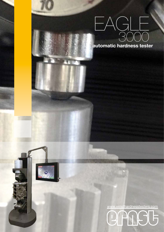

**automatic hardness tester**



www.ernsthardnesstesters.com

CANGG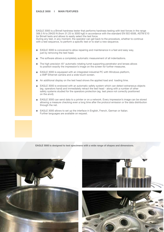EAGLE 3000 is a Brinell hardness tester that performs hardness testing with test forces in the range 306.5 N to 29420 N (from 31.25 to 3000 kgf) in accordance with the standard EN ISO 6506, ASTM E10 for Brinell tests and allows to easily select the test force.

During any test, in any moment, the operator can get back to the procedure, whether to continue with a test sequence, to perform a specific test or to start a new sequence.

- EAGLE 3000 is conceived to allow repairing and maintenance in a fast and easy way. just by removing the test head.
- The software allows a completely automatic measurement of all indentadions. Ē.
- The high precision 45° automatic rotating turret supporting penetrator and lenses allows m. to position exactly the impression's image on the screen for further measures.
- EAGLE 3000 is equipped with an integrated industrial PC with Windows platform, a 5MP Ethernet camera and a wide touch-screen.
- An additional display on the test head shows the applied load and loading time.
- EAGLE 3000 is endowed with an automatic safety system which can detect extraneous objects (eg. operators hand) and immediately retract the test head - along with a number of other safety systems studied for the operators protection (eg. test piece not correctly positioned on the anvil).
- EAGLE 3000 can send data to a printer or on a network. Every impression's image can be stored allowing a measure checking even a long time after the protocol emission or the data distribution through the net.
- EAGLE 3000 allows to set up the interface in English, French, German or Italian. Г. Further languages are available on request.

**Eagle 3000 is designed to test specimens with a wide range of shapes and dimensions.**



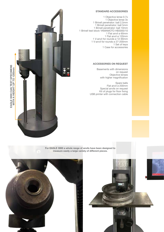## **STANDARD ACCESSORIes**

1 Objective lense 0.7x 1 Objective lense 3x 1 Brinell penetrator: ball 2,5mm 1 Brinell penetrator: ball 5mm 1 Brinell penetrator: ball 10mm 1 Brinell test block YAMAMOTO HB3000/10 1 Flat anvil ø 60mm 1 Flat anvil ø 120mm 1 V-anvil for rounds ø 12-90mm 1 V-anvil for rounds ø 27-200mm 1 Set of keys 1 Case for accessories

## **ACCESSORIes on request**

 Basements with dimensions on request Objective lenses with higher magnification

Spare balls Flat anvil ø 200mm Special anvils on request Kit of plugs for floor fixing USB printer with connection cable



**For EAGLE 3000 a whole range of anvils have been designed to measure easily a large variety of different pieces.**